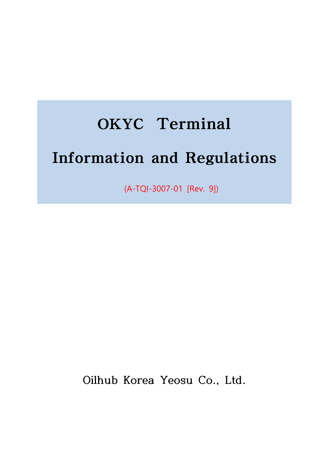# OKYC Terminal

# Information and Regulations

 (A-TQI-3007-01 [Rev. 9]) a sa T

**Oilhub Korea Yeosu Co., Ltd.**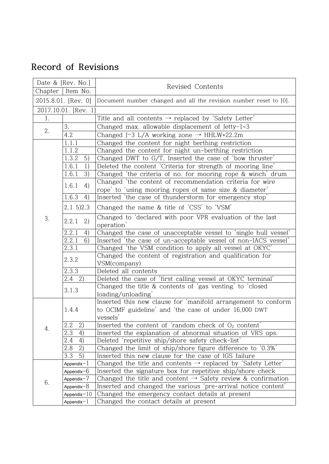# **Record of Revisions**

| Date & [Rev. No.]                          |                      | Revised Contents                                                                                                   |
|--------------------------------------------|----------------------|--------------------------------------------------------------------------------------------------------------------|
| Item No.<br>Chapter<br>2015.8.01. [Rev. 0] |                      |                                                                                                                    |
|                                            |                      | Document number changed and all the revision number reset to [0].                                                  |
|                                            | 2017.10.01. [Rev. 1] |                                                                                                                    |
| 1.                                         |                      | Title and all contents $\rightarrow$ replaced by 'Safety Letter'                                                   |
| 3.<br>2.                                   |                      | Changed max. allowable displacement of Jetty- $1~3$                                                                |
|                                            | 4.2                  | Changed J-3 L/A working zone $\rightarrow$ HHLW+22.2m                                                              |
|                                            | 1.1.1                | Changed the content for night berthing restriction                                                                 |
|                                            | 1.1.2                | Changed the content for night un-berthing restriction                                                              |
|                                            | 1.3.2<br>5)          | Changed DWT to G/T, Inserted the case of 'bow thruster'                                                            |
|                                            | 1.6.1<br>1)          | Deleted the content 'Criteria for strength of mooring line'                                                        |
|                                            | 1.6.1<br>3)          | Changed 'the criteria of no. for mooring rope & winch' drum                                                        |
|                                            | 1.6.1<br>4)          | Changed 'the content of recommendation criteria for wire<br>rope' to 'using mooring ropes of same size & diameter' |
|                                            | 1.6.3<br>4)          | Inserted 'the case of thunderstorm for emergency stop'                                                             |
|                                            | $2.1\,5)2.3$         | Changed the name & title of 'CSS' to 'VSM'                                                                         |
| 3.                                         | 2.2.1<br>2)          | Changed to 'declared with poor VPR evaluation of the last<br>operation'                                            |
|                                            | 2.2.1<br>4)          | Changed the case of unacceptable vessel to 'single hull vessel'                                                    |
|                                            | 2.2.1<br>6)          | Inserted 'the case of un-acceptable vessel of non-IACS vessel'                                                     |
|                                            | 2.3.1                | Changed 'the VSM condition to apply all vessel at OKYC'                                                            |
|                                            |                      | Changed the content of registration and qualification for                                                          |
|                                            | 2.3.2                | VSM(company)                                                                                                       |
|                                            | 2.3.3                | Deleted all contents                                                                                               |
|                                            | $2.4$ 2)             | Deleted the case of 'first calling vessel at OKYC terminal'                                                        |
|                                            |                      | Changed the title & contents of 'gas venting' to 'closed                                                           |
|                                            | 3.1.3                | loading/unloading'                                                                                                 |
|                                            |                      | Inserted this new clause for 'manifold arrangement to conform                                                      |
|                                            | 1.4.4                | to OCIMF guideline' and 'the case of under 16,000 DWT                                                              |
|                                            |                      | vessels'                                                                                                           |
|                                            | $2.2$ 2)             | Inserted the content of 'random check of $O2$ content'                                                             |
| 4.                                         | 2.3<br>4)            | Inserted the explanation of abnormal situation of VRS ops.                                                         |
|                                            | 2.4<br>4)            | Deleted 'repetitive ship/shore safety check-list'                                                                  |
|                                            | 2)<br>2.8            | Changed the limit of ship/shore figure difference to '0.3%'                                                        |
|                                            | 3.3<br>5)            | Inserted this new clause for the case of IGS failure                                                               |
|                                            | Appendix- $1$        | Changed the title and contents $\rightarrow$ replaced by 'Safety Letter'                                           |
|                                            | Appendix $-6$        | Inserted the signature box for repetitive ship/shore check                                                         |
| 6.                                         | Appendix-7           | Changed the title and content $\rightarrow$ Safety review & confirmation                                           |
|                                            | Appendix $-8$        | Inserted and changed the various 'pre-arrival notice content'                                                      |
|                                            | Appendix $-10$       | Changed the emergency contact details at present                                                                   |
|                                            | Appendix $-1$        | Changed the contact details at present                                                                             |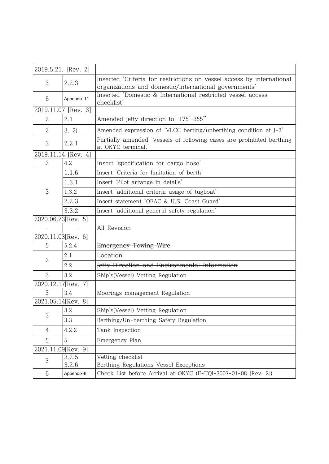|                | 2019.5.21. [Rev. 2] |                                                                                                                                |
|----------------|---------------------|--------------------------------------------------------------------------------------------------------------------------------|
| 3              | 2.2.3               | Inserted 'Criteria for restrictions on vessel access by international<br>organizations and domestic/international governments' |
| 6              | Appendix-11         | Inserted 'Domestic & International restricted vessel access<br>checklist'                                                      |
|                | 2019.11.07 [Rev. 3] |                                                                                                                                |
| 2              | 2.1                 | Amended jetty direction to '175°-355°'                                                                                         |
| $\mathbf{2}$   | 3.2)                | Amended expression of 'VLCC berting/unberthing condition at J-3'                                                               |
| 3              | 2.2.1               | Partially amended 'Vessels of following cases are prohibited berthing<br>at OKYC terminal.'                                    |
|                | 2019.11.14 [Rev. 4] |                                                                                                                                |
| $\overline{2}$ | 4.2                 | Insert 'specification for cargo hose'                                                                                          |
|                | 1.1.6               | Insert 'Criteria for limitation of berth'                                                                                      |
|                | 1.3.1               | Insert 'Pilot arrange in details'                                                                                              |
| 3              | 1.3.2               | Insert 'additional criteria usage of tugboat'                                                                                  |
|                | 2.2.3               | Insert statement 'OFAC & U.S. Coast Guard'                                                                                     |
|                | 3.3.2               | Insert 'additional general safety regulation'                                                                                  |
|                | 2020.06.23[Rev. 5]  |                                                                                                                                |
|                |                     | All Revision                                                                                                                   |
|                | 2020.11.03[Rev. 6]  |                                                                                                                                |
| 5              | 5.2.4               | Emergency Towing Wire                                                                                                          |
| 2              | 2.1                 | Location                                                                                                                       |
|                | 2.2                 | Jetty Direction and Encironmental Information                                                                                  |
| 3              | 3.2.                | Ship's(Vessel) Vetting Regulation                                                                                              |
|                | 2020.12.17 [Rev. 7] |                                                                                                                                |
| 3              | 3.4                 | Moorings management Regulation                                                                                                 |
|                | 2021.05.14[Rev. 8]  |                                                                                                                                |
| 3              | 3.2                 | Ship's(Vessel) Vetting Regulation                                                                                              |
|                | 3.3                 | Berthing/Un-berthing Safety Regulation                                                                                         |
| 4              | 4.2.2               | Tank Inspection                                                                                                                |
| 5              | 5                   | Emergency Plan                                                                                                                 |
|                | 2021.11.09[Rev. 9]  |                                                                                                                                |
| 3              | 3.2.5               | Vetting checklist                                                                                                              |
|                | 3.2.6               | Berthing Regulations Vessel Exceptions                                                                                         |
| 6              | Appendix-8          | Check List before Arrival at OKYC (F-TQI-3007-01-08 [Rev. 2])                                                                  |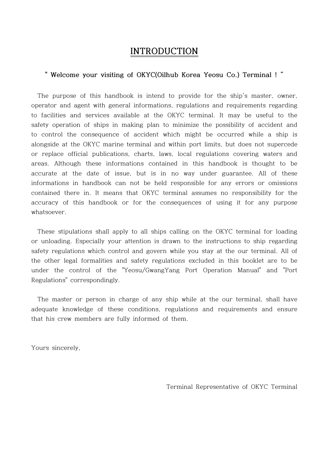# **INTRODUCTION**

#### **" Welcome your visiting of OKYC(Oilhub Korea Yeosu Co.) Terminal ! "**

 The purpose of this handbook is intend to provide for the ship's master, owner, operator and agent with general informations, regulations and requirements regarding to facilities and services available at the OKYC terminal. It may be useful to the safety operation of ships in making plan to minimize the possibility of accident and to control the consequence of accident which might be occurred while a ship is alongside at the OKYC marine terminal and within port limits, but does not supercede or replace official publications, charts, laws, local regulations covering waters and areas. Although these informations contained in this handbook is thought to be accurate at the date of issue, but is in no way under guarantee. All of these informations in handbook can not be held responsible for any errors or omissions contained there in. It means that OKYC terminal assumes no responsibility for the accuracy of this handbook or for the consequences of using it for any purpose whatsoever.

 These stipulations shall apply to all ships calling on the OKYC terminal for loading or unloading. Especially your attention is drawn to the instructions to ship regarding safety regulations which control and govern while you stay at the our terminal. All of the other legal formalities and safety regulations excluded in this booklet are to be under the control of the "Yeosu/GwangYang Port Operation Manual" and "Port Regulations" correspondingly.

 The master or person in charge of any ship while at the our terminal, shall have adequate knowledge of these conditions, regulations and requirements and ensure that his crew members are fully informed of them.

Yours sincerely,

Terminal Representative of OKYC Terminal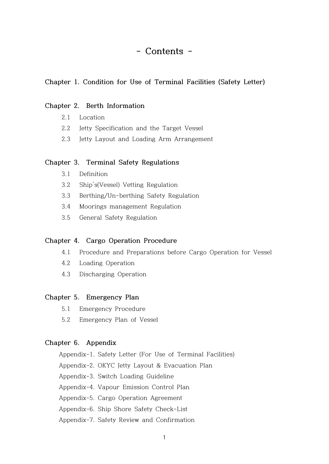# **- Contents -**

#### **Chapter 1. Condition for Use of Terminal Facilities (Safety Letter)**

#### **Chapter 2. Berth Information**

- 2.1 Location
- 2.2 Jetty Specification and the Target Vessel
- 2.3 Jetty Layout and Loading Arm Arrangement

#### **Chapter 3. Terminal Safety Regulations**

- 3.1 Definition
- 3.2 Ship's(Vessel) Vetting Regulation
- 3.3 Berthing/Un-berthing Safety Regulation
- 3.4 Moorings management Regulation
- 3.5 General Safety Regulation

#### **Chapter 4. Cargo Operation Procedure**

- 4.1 Procedure and Preparations before Cargo Operation for Vessel
- 4.2 Loading Operation
- 4.3 Discharging Operation

#### **Chapter 5. Emergency Plan**

- 5.1 Emergency Procedure
- 5.2 Emergency Plan of Vessel

#### **Chapter 6. Appendix**

- Appendix-1. Safety Letter (For Use of Terminal Facilities)
- Appendix-2. OKYC Jetty Layout & Evacuation Plan
- Appendix-3. Switch Loading Guideline
- Appendix-4. Vapour Emission Control Plan
- Appendix-5. Cargo Operation Agreement
- Appendix-6. Ship Shore Safety Check-List
- Appendix-7. Safety Review and Confirmation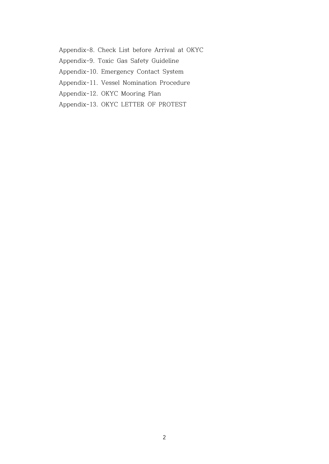Appendix-8. Check List before Arrival at OKYC Appendix-9. Toxic Gas Safety Guideline Appendix-10. Emergency Contact System Appendix-11. Vessel Nomination Procedure Appendix-12. OKYC Mooring Plan Appendix-13. OKYC LETTER OF PROTEST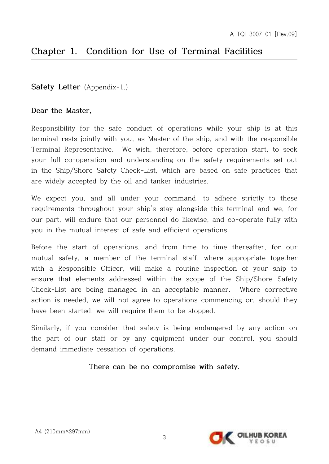# **Chapter 1. Condition for Use of Terminal Facilities**

# **Safety Letter** (Appendix-1.)

# **Dear the Master,**

Responsibility for the safe conduct of operations while your ship is at this terminal rests jointly with you, as Master of the ship, and with the responsible Terminal Representative. We wish, therefore, before operation start, to seek your full co-operation and understanding on the safety requirements set out in the Ship/Shore Safety Check-List, which are based on safe practices that are widely accepted by the oil and tanker industries.

We expect you, and all under your command, to adhere strictly to these requirements throughout your ship's stay alongside this terminal and we, for our part, will endure that our personnel do likewise, and co-operate fully with you in the mutual interest of safe and efficient operations.

Before the start of operations, and from time to time thereafter, for our mutual safety, a member of the terminal staff, where appropriate together with a Responsible Officer, will make a routine inspection of your ship to ensure that elements addressed within the scope of the Ship/Shore Safety Check-List are being managed in an acceptable manner. Where corrective action is needed, we will not agree to operations commencing or, should they have been started, we will require them to be stopped.

Similarly, if you consider that safety is being endangered by any action on the part of our staff or by any equipment under our control, you should demand immediate cessation of operations.

# **There can be no compromise with safety.**

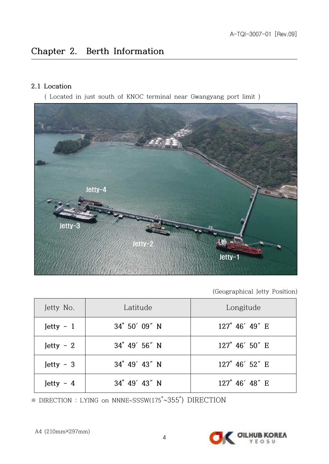# **Chapter 2. Berth Information**

## **2.1 Location**

( Located in just south of KNOC terminal near Gwangyang port limit )



(Geographical Jetty Position)

| Jetty No.   | Latitude                | Longitude      |
|-------------|-------------------------|----------------|
| Jetty - $1$ | $34^{\circ} 50' 09'' N$ | 127° 46' 49" E |
| Jetty - $2$ | $34^{\circ}$ 49' 56" N  | 127° 46' 50" E |
| Jetty - $3$ | $34^{\circ}$ 49' 43" N  | 127° 46′ 52″ E |
| Jetty - $4$ | $34^{\circ}$ 49' 43" N  | 127° 46' 48" E |

※ DIRECTION : LYING on NNNE~SSSW(175°~355°) DIRECTION

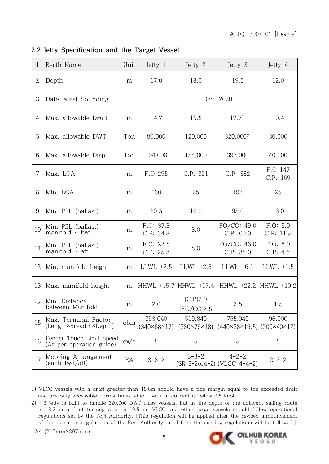**2.2 Jetty Specification and the Target Vessel**

| 1  | Berth Name                                           | Unit | Jetty-1                                | Jetty-2                                | Jetty-3                                     | Jetty-4                               |
|----|------------------------------------------------------|------|----------------------------------------|----------------------------------------|---------------------------------------------|---------------------------------------|
| 2  | Depth                                                | m    | 17.0                                   | 18.0                                   | 19.5                                        | 12.0                                  |
| 3  | Date latest Sounding                                 |      |                                        |                                        | Dec. 2020                                   |                                       |
| 4  | Max. allowable Draft                                 | m    | 14.7                                   | 15.5                                   | 17.71                                       | 10.4                                  |
| 5  | Max. allowable DWT                                   | Ton  | 80,000                                 | 120,000                                | 320,0002)                                   | 30,000                                |
| 6  | Max. allowable Disp.                                 | Ton  | 104,000                                | 154,000                                | 393,000                                     | 40,000                                |
| 7  | Max. LOA                                             | m    | F.O 295                                | C.P. 321                               | C.P. 382                                    | F.O 147<br>C.P. 169                   |
| 8  | Min. LOA                                             | m    | 130                                    | 25                                     | 193                                         | 25                                    |
| 9  | Min. PBL (ballast)                                   | m    | 60.5                                   | 16.0                                   | 95.0                                        | 16.0                                  |
| 10 | Min. PBL (ballast)<br>manifold $\sim$ fwd            | m    | F.O.37.8<br>C.P: 34.8                  | 8.0                                    | FO/CO: 49.0<br>C.P: 60.0                    | F.O. 8.0<br>C.P: 11.5                 |
| 11 | Min. PBL (ballast)<br>manifold $\sim$ aft            | m    | F.O: 22.8<br>C.P: 25.8                 | 8.0                                    | FO/CO: 46.0<br>C.P: 35.0                    | F.O. 8.0<br>C.P: 4.5                  |
| 12 | Min. manifold height                                 | m    | $LLWL +2.5$                            | $LLWL +2.5$                            | $LLWL + 6.1$                                | $LLWL + 1.5$                          |
| 13 | Max. manifold height                                 | m    |                                        | HHWL +15.7 HHWL +17.4                  | HHWL +22.2                                  | $HHWL + 10.2$                         |
| 14 | Min. Distance<br>between Manifold                    | m    | 2.0                                    | (C.P)2.0<br>(FO/CO)2.5                 | 2.5                                         | 1.5                                   |
| 15 | Max. Terminal Factor<br>(Length×Breadth×Depth)       | cbm  | 393,040<br>$(340 \times 68 \times 17)$ | 519,840<br>$(380 \times 76 \times 18)$ | 755,040<br>$(440 \times 88 \times 19.5)$    | 96,000<br>$(200 \times 40 \times 12)$ |
| 16 | Fender Touch Limit Speed<br>(As per operation guide) | cm/s | 5                                      | 5                                      | 5                                           | 5                                     |
| 17 | Mooring Arrangement<br>(each fwd/aft)                | EA   | $3 - 3 - 2$                            | $3 - 3 - 2$                            | $4 - 2 - 2$<br>$(SR 3-2or4-2)$ (VLCC 4-4-2) | $2 - 2 - 2$                           |

<sup>1)</sup> VLCC vessels with a draft greater than 15.8m should have a tide margin equal to the exceeded draft and are only accessible during times when the tidal current is below 0.5 knot.



<sup>2)</sup> J-3 jetty is built to handle 320,000 DWT class vessels, but as the depth of the adjacent sailing route is 18.2 m and of turning area is 19.5 m, VLCC and other large vessels should follow operational regulations set by the Port Authority. [This regulation will be applied after the revised announcement of the operation regulations of the Port Authority, until then the existing regulations will be followed.]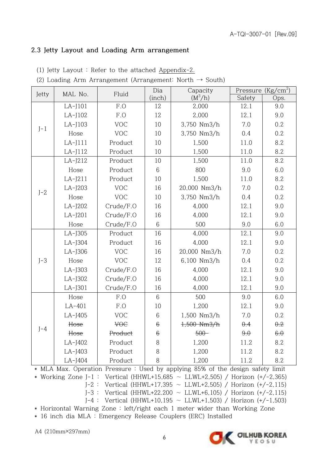## **2.3 Jetty Layout and Loading Arm arrangement**

| Jetty | MAL No.   | Fluid      | Dia                     | Capacity      |             | Pressure $(Kg/cm2)$ |
|-------|-----------|------------|-------------------------|---------------|-------------|---------------------|
|       |           |            | (inch)                  | $(M^3/h)$     | Safety      | Ops.                |
|       | $LA-J101$ | F.O        | 12                      | 2,000         | 12.1        | 9.0                 |
|       | $LA-J102$ | F.O        | 12                      | 2,000         | 12.1        | 9.0                 |
| $J-1$ | $LA-J103$ | <b>VOC</b> | 10                      | 3,750 Nm3/h   | 7.0         | 0.2                 |
|       | Hose      | <b>VOC</b> | 10                      | 3,750 Nm3/h   | 0.4         | 0.2                 |
|       | $LA-J111$ | Product    | 10                      | 1,500         | 11.0        | 8.2                 |
|       | $LA-J112$ | Product    | 10                      | 1,500         | 11.0        | 8.2                 |
|       | $LA-J212$ | Product    | 10                      | 1,500         | 11.0        | 8.2                 |
|       | Hose      | Product    | 6                       | 800           | 9.0         | 6.0                 |
|       | $LA-J211$ | Product    | 10                      | 1,500         | 11.0        | 8.2                 |
| $J-2$ | $LA-J203$ | <b>VOC</b> | 16                      | 20,000 Nm3/h  | 7.0         | 0.2                 |
|       | Hose      | <b>VOC</b> | 10                      | 3,750 Nm3/h   | 0.4         | 0.2                 |
|       | LA-J202   | Crude/F.O  | 16                      | 4,000         | 12.1        | 9.0                 |
|       | $LA-I201$ | Crude/F.O  | 16                      | 4,000         | 12.1        | 9.0                 |
|       | Hose      | Crude/F.O  | 6                       | 500           | 9.0         | 6.0                 |
|       | LA-J305   | Product    | 16                      | 4,000         | 12.1        | 9.0                 |
|       | $LA-J304$ | Product    | 16                      | 4,000         | 12.1        | 9.0                 |
|       | LA-J306   | <b>VOC</b> | 16                      | 20,000 Nm3/h  | 7.0         | 0.2                 |
| $J-3$ | Hose      | <b>VOC</b> | 12                      | 6,100 Nm3/h   | 0.4         | 0.2                 |
|       | $LA-J303$ | Crude/F.O  | 16                      | 4,000         | 12.1        | 9.0                 |
|       | LA-J302   | Crude/F.O  | 16                      | 4,000         | 12.1        | 9.0                 |
|       | $LA-J301$ | Crude/F.O  | 16                      | 4,000         | 12.1        | 9.0                 |
|       | Hose      | F.O        | 6                       | 500           | 9.0         | 6.0                 |
|       | $LA-401$  | F.O        | 10                      | 1,200         | 12.1        | 9.0                 |
|       | $LA-J405$ | <b>VOC</b> | 6                       | 1,500 Nm3/h   | 7.0         | 0.2                 |
|       | Hose      | <b>VOC</b> | $\boldsymbol{\uptheta}$ | $1,500$ Nm3/h | $\theta$ .4 | $\theta$ . $2$      |
| $J-4$ | Hose      | Product    | $\boldsymbol{\uptheta}$ | $500 -$       | 9.0         | $6.\theta$          |
|       | LA-J402   | Product    | 8                       | 1,200         | 11.2        | 8.2                 |
|       | LA-J403   | Product    | 8                       | 1,200         | 11.2        | 8.2                 |
|       | $LA-J404$ | Product    | 8                       | 1,200         | 11.2        | 8.2                 |

(1) Jetty Layout : Refer to the attached Appendix-2.

|  | (2) Loading Arm Arrangement (Arrangement: North $\rightarrow$ South) |  |  |
|--|----------------------------------------------------------------------|--|--|
|  |                                                                      |  |  |

\* MLA Max. Operation Pressure : Used by applying 85% of the design safety limit \* Working Zone J-1 : Vertical (HHWL+15,685 ∼ LLWL+2,505) / Horizon (+/-2,365) J-2 : Vertical (HHWL+17,395 ∼ LLWL+2,505) / Horizon (+/-2,115)

J-3 : Vertical (HHWL+22.200 ∼ LLWL+6,105) / Horizon (+/-2,115)

J-4 : Vertical (HHWL+10,195 ∼ LLWL+1,503) / Horizon (+/-1,503)

\* Horizontal Warning Zone : left/right each 1 meter wider than Working Zone

\* 16 inch dia MLA : Emergency Release Couplers (ERC) Installed

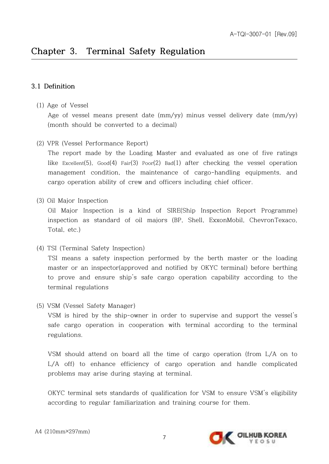# **3.1 Definition**

(1) Age of Vessel

Age of vessel means present date (mm/yy) minus vessel delivery date (mm/yy) (month should be converted to a decimal)

(2) VPR (Vessel Performance Report)

The report made by the Loading Master and evaluated as one of five ratings like Excellent(5), Good(4) Fair(3) Poor(2) Bad(1) after checking the vessel operation management condition, the maintenance of cargo-handling equipments, and cargo operation ability of crew and officers including chief officer.

(3) Oil Major Inspection

Oil Major Inspection is a kind of SIRE(Ship Inspection Report Programme) inspection as standard of oil majors (BP, Shell, ExxonMobil, ChevronTexaco, Total, etc.)

- (4) TSI (Terminal Safety Inspection) TSI means a safety inspection performed by the berth master or the loading master or an inspector(approved and notified by OKYC terminal) before berthing to prove and ensure ship's safe cargo operation capability according to the terminal regulations
- (5) VSM (Vessel Safety Manager)

VSM is hired by the ship-owner in order to supervise and support the vessel's safe cargo operation in cooperation with terminal according to the terminal regulations.

VSM should attend on board all the time of cargo operation (from L/A on to L/A off) to enhance efficiency of cargo operation and handle complicated problems may arise during staying at terminal.

OKYC terminal sets standards of qualification for VSM to ensure VSM's eligibility according to regular familiarization and training course for them.

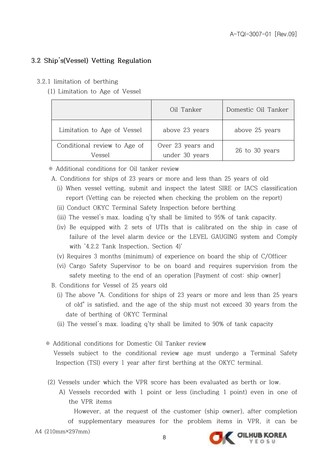# **3.2 Ship's(Vessel) Vetting Regulation**

- 3.2.1 limitation of berthing
	- (1) Limitation to Age of Vessel

|                                        | Oil Tanker                          | Domestic Oil Tanker |
|----------------------------------------|-------------------------------------|---------------------|
| Limitation to Age of Vessel            | above 23 years                      | above 25 years      |
| Conditional review to Age of<br>Vessel | Over 23 years and<br>under 30 years | $26$ to $30$ years  |

※ Additional conditions for Oil tanker review

- A. Conditions for ships of 23 years or more and less than 25 years of old
	- (i) When vessel vetting, submit and inspect the latest SIRE or IACS classification report (Vetting can be rejected when checking the problem on the report)
	- (ii) Conduct OKYC Terminal Safety Inspection before berthing
	- (iii) The vessel's max. loading q'ty shall be limited to 95% of tank capacity.
	- (iv) Be equipped with 2 sets of UTIs that is calibrated on the ship in case of failure of the level alarm device or the LEVEL GAUGING system and Comply with '4.2.2 Tank Inspection, Section 4)'
	- (v) Requires 3 months (minimum) of experience on board the ship of C/Officer
	- (vi) Cargo Safety Supervisor to be on board and requires supervision from the safety meeting to the end of an operation [Payment of cost: ship owner]
- B. Conditions for Vessel of 25 years old
	- (i) The above "A. Conditions for ships of 23 years or more and less than 25 years of old" is satisfied, and the age of the ship must not exceed 30 years from the date of berthing of OKYC Terminal (ii) The vessel's max. loading q'ty shall be limited to 90% of tank capacity
	-
- ※ Additional conditions for Domestic Oil Tanker review

 Vessels subject to the conditional review age must undergo a Terminal Safety Inspection (TSI) every 1 year after first berthing at the OKYC terminal.

- (2) Vessels under which the VPR score has been evaluated as berth or low.
	- A) Vessels recorded with 1 point or less (including 1 point) even in one of the VPR items

 However, at the request of the customer (ship owner), after completion of supplementary measures for the problem items in VPR, it can be

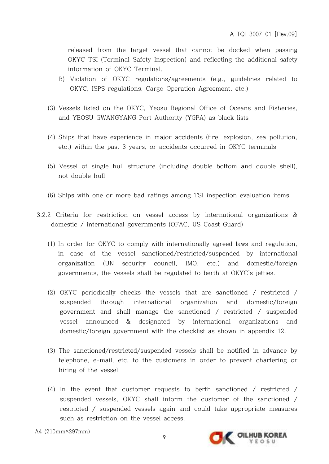released from the target vessel that cannot be docked when passing OKYC TSI (Terminal Safety Inspection) and reflecting the additional safety information of OKYC Terminal.

- B) Violation of OKYC regulations/agreements (e.g., guidelines related to OKYC, ISPS regulations, Cargo Operation Agreement, etc.)
- (3) Vessels listed on the OKYC, Yeosu Regional Office of Oceans and Fisheries, and YEOSU GWANGYANG Port Authority (YGPA) as black lists
- (4) Ships that have experience in major accidents (fire, explosion, sea pollution, etc.) within the past 3 years, or accidents occurred in OKYC terminals
- (5) Vessel of single hull structure (including double bottom and double shell), not double hull
- (6) Ships with one or more bad ratings among TSI inspection evaluation items
- 3.2.2 Criteria for restriction on vessel access by international organizations & domestic / international governments (OFAC, US Coast Guard)
	- (1) In order for OKYC to comply with internationally agreed laws and regulation, in case of the vessel sanctioned/restricted/suspended by international organization (UN security council, IMO, etc.) and domestic/foreign governments, the vessels shall be regulated to berth at OKYC's jetties.
	- (2) OKYC periodically checks the vessels that are sanctioned / restricted / suspended through international organization and domestic/foreign government and shall manage the sanctioned / restricted / suspended vessel announced & designated by international organizations and domestic/foreign government with the checklist as shown in appendix 12.
	- (3) The sanctioned/restricted/suspended vessels shall be notified in advance by telephone, e-mail, etc. to the customers in order to prevent chartering or hiring of the vessel.
	- (4) In the event that customer requests to berth sanctioned / restricted / suspended vessels, OKYC shall inform the customer of the sanctioned / restricted / suspended vessels again and could take appropriate measures such as restriction on the vessel access.
- A4 (210mm×297mm)

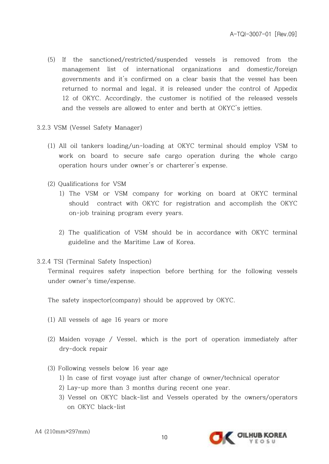- (5) If the sanctioned/restricted/suspended vessels is removed from the management list of international organizations and domestic/foreign governments and it's confirmed on a clear basis that the vessel has been returned to normal and legal, it is released under the control of Appedix 12 of OKYC. Accordingly, the customer is notified of the released vessels and the vessels are allowed to enter and berth at OKYC's jetties.
- 3.2.3 VSM (Vessel Safety Manager)
	- (1) All oil tankers loading/un-loading at OKYC terminal should employ VSM to work on board to secure safe cargo operation during the whole cargo operation hours under owner's or charterer's expense.
	- (2) Qualifications for VSM
		- 1) The VSM or VSM company for working on board at OKYC terminal should contract with OKYC for registration and accomplish the OKYC on-job training program every years.
		- 2) The qualification of VSM should be in accordance with OKYC terminal guideline and the Maritime Law of Korea.
- 3.2.4 TSI (Terminal Safety Inspection)

Terminal requires safety inspection before berthing for the following vessels under owner's time/expense.

The safety inspector(company) should be approved by OKYC.

- (1) All vessels of age 16 years or more
- (2) Maiden voyage / Vessel, which is the port of operation immediately after dry-dock repair
- (3) Following vessels below 16 year age
	- 1) In case of first voyage just after change of owner/technical operator
	- 2) Lay-up more than 3 months during recent one year.
	- 3) Vessel on OKYC black-list and Vessels operated by the owners/operators on OKYC black-list



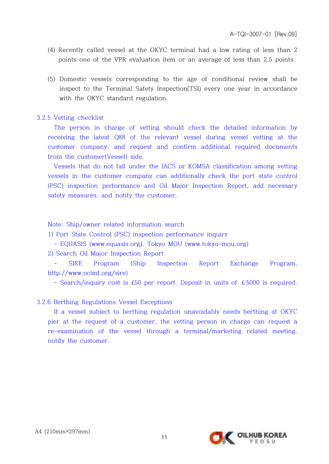- (4) Recently called vessel at the OKYC terminal had a low rating of less than 2 points one of the VPR evaluation item or an average of less than 2.5 points.
- (5) Domestic vessels corresponding to the age of conditional review shall be inspect to the Terminal Safety Inspection(TSI) every one year in accordance with the OKYC standard regulation.

#### 3.2.5 Vetting checklist

 The person in charge of vetting should check the detailed information by receiving the latest Q88 of the relevant vessel during vessel vetting at the customer company, and request and confirm additional required documents from the customer(Vessel) side.

 Vessels that do not fall under the IACS or KOMSA classification among vetting vessels in the customer company can additionally check the port state control (PSC) inspection performance and Oil Major Inspection Report, add necessary safety measures, and notify the customer.

Note: Ship/owner related information search

1) Port State Control (PSC) inspection performance inquiry

- EQUASIS (www.equasis.org), Tokyo MOU (www.tokyo-mou.org)

2) Search Oil Major Inspection Report

SIRE Program (Ship Inspection Report Exchange Program, http://www.ocimf.org/sire)

- Search/inquiry cost is £50 per report. Deposit in units of £5000 is required.

#### 3.2.6 Berthing Regulations Vessel Exceptions

 If a vessel subject to berthing regulation unavoidably needs berthing at OKYC pier at the request of a customer, the vetting person in charge can request a re-examination of the vessel through a terminal/marketing related meeting. notify the customer.

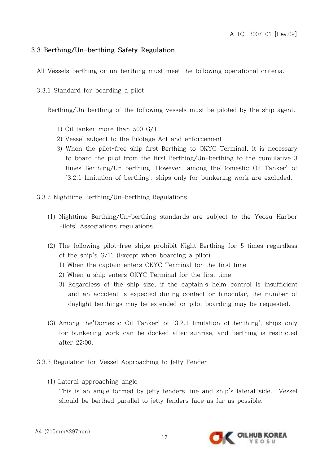# **3.3 Berthing/Un-berthing Safety Regulation**

- All Vessels berthing or un-berthing must meet the following operational criteria.
- 3.3.1 Standard for boarding a pilot

Berthing/Un-berthing of the following vessels must be piloted by the ship agent.

- 1) Oil tanker more than 500 G/T
- 2) Vessel subject to the Pilotage Act and enforcement
- 3) When the pilot-free ship first Berthing to OKYC Terminal, it is necessary to board the pilot from the first Berthing/Un-berthing to the cumulative 3 times Berthing/Un-berthing. However, among the'Domestic Oil Tanker' of '3.2.1 limitation of berthing', ships only for bunkering work are excluded.
- 3.3.2 Nighttime Berthing/Un-berthing Regulations
	- (1) Nighttime Berthing/Un-berthing standards are subject to the Yeosu Harbor Pilots' Associations regulations.
	- (2) The following pilot-free ships prohibit Night Berthing for 5 times regardless of the ship's G/T. (Except when boarding a pilot)
		- 1) When the captain enters OKYC Terminal for the first time
		- 2) When a ship enters OKYC Terminal for the first time
		- 3) Regardless of the ship size, if the captain's helm control is insufficient and an accident is expected during contact or binocular, the number of daylight berthings may be extended or pilot boarding may be requested.
	- (3) Among the'Domestic Oil Tanker' of '3.2.1 limitation of berthing', ships only for bunkering work can be docked after sunrise, and berthing is restricted after 22:00.
- 3.3.3 Regulation for Vessel Approaching to Jetty Fender
	- (1) Lateral approaching angle This is an angle formed by jetty fenders line and ship's lateral side. Vessel should be berthed parallel to jetty fenders face as far as possible.



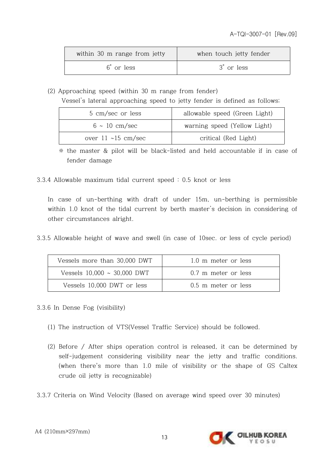| within 30 m range from jetty | when touch jetty fender |
|------------------------------|-------------------------|
| 6° or less                   | 3° or less              |

(2) Approaching speed (within 30 m range from fender)

Vessel's lateral approaching speed to jetty fender is defined as follows;

| 5 cm/sec or less         | allowable speed (Green Light) |
|--------------------------|-------------------------------|
| $6 \sim 10$ cm/sec       | warning speed (Yellow Light)  |
| over $11 \sim 15$ cm/sec | critical (Red Light)          |

※ the master & pilot will be black-listed and held accountable if in case of fender damage

3.3.4 Allowable maximum tidal current speed : 0.5 knot or less

In case of un-berthing with draft of under 15m, un-berthing is permissible within 1.0 knot of the tidal current by berth master's decision in considering of other circumstances alright.

3.3.5 Allowable height of wave and swell (in case of 10sec. or less of cycle period)

| Vessels more than 30,000 DWT     | 1.0 m meter or less |
|----------------------------------|---------------------|
| Vessels $10,000 \sim 30,000$ DWT | 0.7 m meter or less |
| Vessels 10,000 DWT or less       | 0.5 m meter or less |

3.3.6 In Dense Fog (visibility)

- (1) The instruction of VTS(Vessel Traffic Service) should be followed.
- (2) Before / After ships operation control is released, it can be determined by self-judgement considering visibility near the jetty and traffic conditions. (when there's more than 1.0 mile of visibility or the shape of GS Caltex crude oil jetty is recognizable)
- 3.3.7 Criteria on Wind Velocity (Based on average wind speed over 30 minutes)



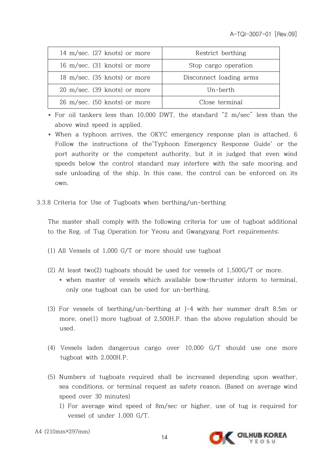| 14 m/sec. (27 knots) or more            | Restrict berthing       |
|-----------------------------------------|-------------------------|
| 16 m/sec. (31 knots) or more            | Stop cargo operation    |
| 18 m/sec. (35 knots) or more            | Disconnect loading arms |
| 20 m/sec. (39 knots) or more            | Un-berth                |
| $26 \text{ m/sec}$ . (50 knots) or more | Close terminal          |

- \* For oil tankers less than 10,000 DWT, the standard "2 m/sec" less than the above wind speed is applied.
- \* When a typhoon arrives, the OKYC emergency response plan is attached. 6 Follow the instructions of the'Typhoon Emergency Response Guide' or the port authority or the competent authority, but it is judged that even wind speeds below the control standard may interfere with the safe mooring and safe unloading of the ship. In this case, the control can be enforced on its own.
- 3.3.8 Criteria for Use of Tugboats when berthing/un-berthing

The master shall comply with the following criteria for use of tugboat additional to the Reg. of Tug Operation for Yeosu and Gwangyang Port requirements;

- (1) All Vessels of 1,000 G/T or more should use tugboat
- (2) At least two(2) tugboats should be used for vessels of 1,500G/T or more.
	- \* when master of vessels which available bow-thruster inform to terminal, only one tugboat can be used for un-berthing.
- (3) For vessels of berthing/un-berthing at J-4 with her summer draft 8.5m or more, one(1) more tugboat of 2,500H.P. than the above regulation should be used.
- (4) Vessels laden dangerous cargo over 10,000 G/T should use one more tugboat with 2,000H.P.
- (5) Numbers of tugboats required shall be increased depending upon weather, sea conditions, or terminal request as safety reason. (Based on average wind speed over 30 minutes)
	- 1) For average wind speed of 8m/sec or higher, use of tug is required for vessel of under 1,000 G/T.

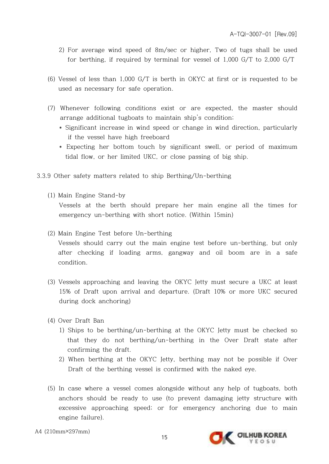- 2) For average wind speed of 8m/sec or higher, Two of tugs shall be used for berthing, if required by terminal for vessel of 1,000 G/T to 2,000 G/T
- (6) Vessel of less than 1,000 G/T is berth in OKYC at first or is requested to be used as necessary for safe operation.
- (7) Whenever following conditions exist or are expected, the master should arrange additional tugboats to maintain ship's condition;
	- \* Significant increase in wind speed or change in wind direction, particularly if the vessel have high freeboard
	- \* Expecting her bottom touch by significant swell, or period of maximum tidal flow, or her limited UKC, or close passing of big ship.

3.3.9 Other safety matters related to ship Berthing/Un-berthing

(1) Main Engine Stand-by

 Vessels at the berth should prepare her main engine all the times for emergency un-berthing with short notice. (Within 15min)

- (2) Main Engine Test before Un-berthing Vessels should carry out the main engine test before un-berthing, but only after checking if loading arms, gangway and oil boom are in a safe condition.
- (3) Vessels approaching and leaving the OKYC Jetty must secure a UKC at least 15% of Draft upon arrival and departure. (Draft 10% or more UKC secured during dock anchoring)
- (4) Over Draft Ban
	- 1) Ships to be berthing/un-berthing at the OKYC Jetty must be checked so that they do not berthing/un-berthing in the Over Draft state after confirming the draft.
	- 2) When berthing at the OKYC Jetty, berthing may not be possible if Over Draft of the berthing vessel is confirmed with the naked eye.
- (5) In case where a vessel comes alongside without any help of tugboats, both anchors should be ready to use (to prevent damaging jetty structure with excessive approaching speed; or for emergency anchoring due to main engine failure).
- A4 (210mm×297mm)

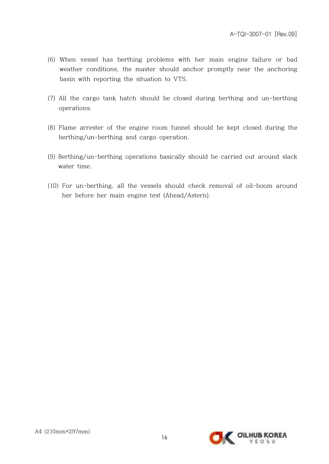- (6) When vessel has berthing problems with her main engine failure or bad weather conditions, the master should anchor promptly near the anchoring basin with reporting the situation to VTS.
- (7) All the cargo tank hatch should be closed during berthing and un-berthing operations.
- (8) Flame arrester of the engine room funnel should be kept closed during the berthing/un-berthing and cargo operation.
- (9) Berthing/un-berthing operations basically should be carried out around slack water time.
- (10) For un-berthing, all the vessels should check removal of oil-boom around her before her main engine test (Ahead/Astern).

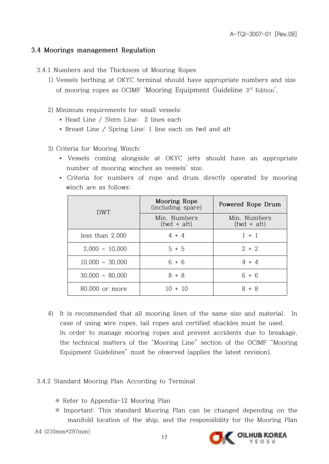## **3.4 Moorings management Regulation**

- 3.4.1 Numbers and the Thickness of Mooring Ropes
	- 1) Vessels berthing at OKYC terminal should have appropriate numbers and size of mooring ropes as OCIMF 'Mooring Equipment Guideline 3<sup>rd</sup> Edition'.<br>2) Minimum requirements for small vessels:
	- - \* Head Line / Stern Line: 2 lines each
		- \* Breast Line / Spring Line: 1 line each on fwd and aft
	- 3) Criteria for Mooring Winch:
		- \* Vessels coming alongside at OKYC jetty should have an appropriate number of mooring winches as vessels' size.
		- \* Criteria for numbers of rope and drum directly operated by mooring winch are as follows:

| DWT                  | Mooring Rope<br>(including spare) | Powered Rope Drum             |
|----------------------|-----------------------------------|-------------------------------|
|                      | Min. Numbers<br>$(fwd + aft)$     | Min. Numbers<br>$(fwd + aft)$ |
| less than $2,000$    | $4 + 4$                           | $1 + 1$                       |
| $2,000 \sim 10,000$  | $5 + 5$                           | $2 + 2$                       |
| $10,000 \sim 30,000$ | $6 + 6$                           | $4 + 4$                       |
| $30,000 \sim 80,000$ | $8 + 8$                           | $6 + 6$                       |
| 80,000 or more       | $10 + 10$                         | $8 + 8$                       |

4) It is recommended that all mooring lines of the same size and material. In case of using wire ropes, tail ropes and certified shackles must be used. In order to manage mooring ropes and prevent accidents due to breakage, the technical matters of the "Mooring Line" section of the OCIMF "Mooring Equipment Guidelines" must be observed (applies the latest revision).

#### 3.4.2 Standard Mooring Plan According to Terminal

- ※ Refer to Appendix-12 Mooring Plan
- ※ Important: This standard Mooring Plan can be changed depending on the manifold location of the ship, and the responsibility for the Mooring Plan
- A4 (210mm×297mm)

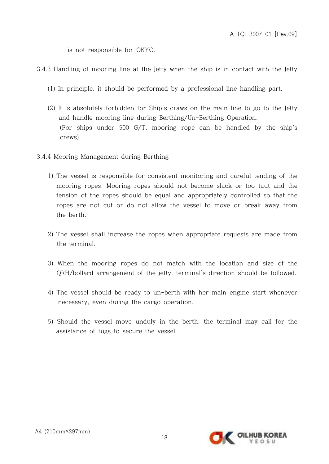is not responsible for OKYC.

- 3.4.3 Handling of mooring line at the Jetty when the ship is in contact with the Jetty
	- (1) In principle, it should be performed by a professional line handling part.
	- (2) It is absolutely forbidden for Ship's craws on the main line to go to the Jetty and handle mooring line during Berthing/Un-Berthing Operation. (For ships under 500 G/T, mooring rope can be handled by the ship's crews)
- 3.4.4 Mooring Management during Berthing
	- 1) The vessel is responsible for consistent monitoring and careful tending of the mooring ropes. Mooring ropes should not become slack or too taut and the tension of the ropes should be equal and appropriately controlled so that the ropes are not cut or do not allow the vessel to move or break away from the berth.
	- 2) The vessel shall increase the ropes when appropriate requests are made from the terminal.
	- 3) When the mooring ropes do not match with the location and size of the QRH/bollard arrangement of the jetty, terminal's direction should be followed.
	- 4) The vessel should be ready to un-berth with her main engine start whenever necessary, even during the cargo operation.
	- 5) Should the vessel move unduly in the berth, the terminal may call for the assistance of tugs to secure the vessel.

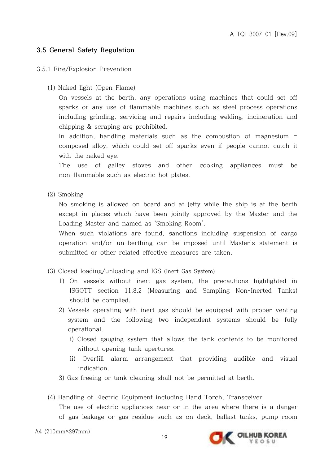## **3.5 General Safety Regulation**

#### 3.5.1 Fire/Explosion Prevention

(1) Naked light (Open Flame)

On vessels at the berth, any operations using machines that could set off sparks or any use of flammable machines such as steel process operations including grinding, servicing and repairs including welding, incineration and chipping & scraping are prohibited.

In addition, handling materials such as the combustion of magnesium – composed alloy, which could set off sparks even if people cannot catch it with the naked eye.

The use of galley stoves and other cooking appliances must be non-flammable such as electric hot plates.

(2) Smoking

No smoking is allowed on board and at jetty while the ship is at the berth except in places which have been jointly approved by the Master and the Loading Master and named as 'Smoking Room'.

When such violations are found, sanctions including suspension of cargo operation and/or un-berthing can be imposed until Master's statement is submitted or other related effective measures are taken.

- (3) Closed loading/unloading and IGS (Inert Gas System)
	- 1) On vessels without inert gas system, the precautions highlighted in ISGOTT section 11.8.2 (Measuring and Sampling Non-Inerted Tanks) should be complied.
	- 2) Vessels operating with inert gas should be equipped with proper venting system and the following two independent systems should be fully operational.
		- i) Closed gauging system that allows the tank contents to be monitored without opening tank apertures.
		- ii) Overfill alarm arrangement that providing audible and visual indication.
	- 3) Gas freeing or tank cleaning shall not be permitted at berth.
- (4) Handling of Electric Equipment including Hand Torch, Transceiver The use of electric appliances near or in the area where there is a danger of gas leakage or gas residue such as on deck, ballast tanks, pump room
- A4 (210mm×297mm)

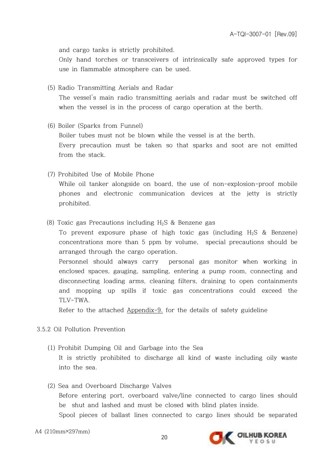and cargo tanks is strictly prohibited.

Only hand torches or transceivers of intrinsically safe approved types for use in flammable atmosphere can be used.

- (5) Radio Transmitting Aerials and Radar The vessel's main radio transmitting aerials and radar must be switched off when the vessel is in the process of cargo operation at the berth.
- (6) Boiler (Sparks from Funnel) Boiler tubes must not be blown while the vessel is at the berth. Every precaution must be taken so that sparks and soot are not emitted from the stack.
- (7) Prohibited Use of Mobile Phone While oil tanker alongside on board, the use of non-explosion-proof mobile phones and electronic communication devices at the jetty is strictly prohibited.
- (8) Toxic gas Precautions including  $H_2S$  & Benzene gas

To prevent exposure phase of high toxic gas (including  $H_2S$  & Benzene) concentrations more than 5 ppm by volume, special precautions should be arranged through the cargo operation.

Personnel should always carry personal gas monitor when working in enclosed spaces, gauging, sampling, entering a pump room, connecting and disconnecting loading arms, cleaning filters, draining to open containments and mopping up spills if toxic gas concentrations could exceed the TLV-TWA.

Refer to the attached Appendix-9. for the details of safety guideline

- 3.5.2 Oil Pollution Prevention
	- (1) Prohibit Dumping Oil and Garbage into the Sea

It is strictly prohibited to discharge all kind of waste including oily waste into the sea.

(2) Sea and Overboard Discharge Valves Before entering port, overboard valve/line connected to cargo lines should be shut and lashed and must be closed with blind plates inside. Spool pieces of ballast lines connected to cargo lines should be separated

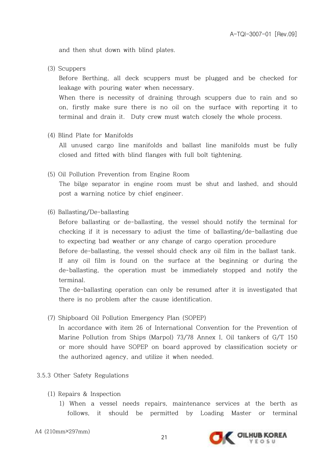and then shut down with blind plates.

(3) Scuppers

Before Berthing, all deck scuppers must be plugged and be checked for leakage with pouring water when necessary.

When there is necessity of draining through scuppers due to rain and so on, firstly make sure there is no oil on the surface with reporting it to terminal and drain it. Duty crew must watch closely the whole process.

(4) Blind Plate for Manifolds

All unused cargo line manifolds and ballast line manifolds must be fully closed and fitted with blind flanges with full bolt tightening.

- (5) Oil Pollution Prevention from Engine Room The bilge separator in engine room must be shut and lashed, and should
- (6) Ballasting/De-ballasting

Before ballasting or de-ballasting, the vessel should notify the terminal for checking if it is necessary to adjust the time of ballasting/de-ballasting due to expecting bad weather or any change of cargo operation procedure Before de-ballasting, the vessel should check any oil film in the ballast tank. If any oil film is found on the surface at the beginning or during the de-ballasting, the operation must be immediately stopped and notify the terminal.

The de-ballasting operation can only be resumed after it is investigated that there is no problem after the cause identification.

(7) Shipboard Oil Pollution Emergency Plan (SOPEP)

post a warning notice by chief engineer.

In accordance with item 26 of International Convention for the Prevention of Marine Pollution from Ships (Marpol) 73/78 Annex I, Oil tankers of G/T 150 or more should have SOPEP on board approved by classification society or the authorized agency, and utilize it when needed.

- 3.5.3 Other Safety Regulations
	- (1) Repairs & Inspection
		- 1) When a vessel needs repairs, maintenance services at the berth as follows, it should be permitted by Loading Master or terminal

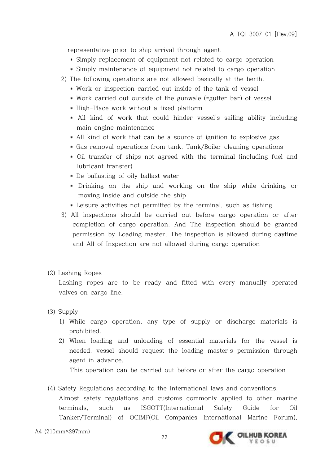representative prior to ship arrival through agent.

- \* Simply replacement of equipment not related to cargo operation
- \* Simply maintenance of equipment not related to cargo operation
- 2) The following operations are not allowed basically at the berth.
	- \* Work or inspection carried out inside of the tank of vessel
	- \* Work carried out outside of the gunwale (=gutter bar) of vessel
	- \* High-Place work without a fixed platform
	- \* All kind of work that could hinder vessel's sailing ability including main engine maintenance
	- \* All kind of work that can be a source of ignition to explosive gas
	- \* Gas removal operations from tank, Tank/Boiler cleaning operations
	- \* Oil transfer of ships not agreed with the terminal (including fuel and lubricant transfer)
	- \* De-ballasting of oily ballast water
	- \* Drinking on the ship and working on the ship while drinking or moving inside and outside the ship
	- \* Leisure activities not permitted by the terminal, such as fishing
- 3) All inspections should be carried out before cargo operation or after completion of cargo operation. And The inspection should be granted permission by Loading master. The inspection is allowed during daytime and All of Inspection are not allowed during cargo operation
- (2) Lashing Ropes

Lashing ropes are to be ready and fitted with every manually operated valves on cargo line.

- (3) Supply
	- 1) While cargo operation, any type of supply or discharge materials is prohibited.
	- 2) When loading and unloading of essential materials for the vessel is needed, vessel should request the loading master's permission through agent in advance.

This operation can be carried out before or after the cargo operation

- (4) Safety Regulations according to the International laws and conventions. Almost safety regulations and customs commonly applied to other marine terminals, such as ISGOTT(International Safety Guide for Oil Tanker/Terminal) of OCIMF(Oil Companies International Marine Forum),
- A4 (210mm×297mm)

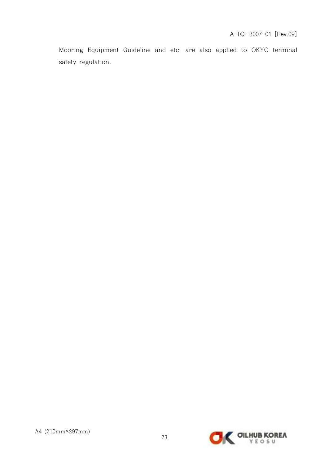Mooring Equipment Guideline and etc. are also applied to OKYC terminal safety regulation.

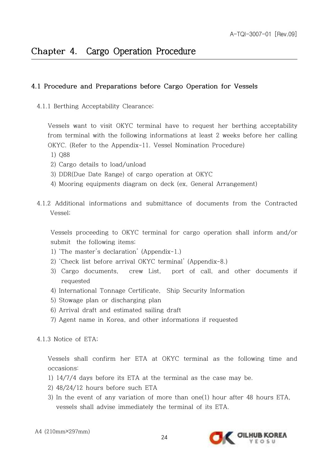# **4.1 Procedure and Preparations before Cargo Operation for Vessels**

4.1.1 Berthing Acceptability Clearance;

Vessels want to visit OKYC terminal have to request her berthing acceptability from terminal with the following informations at least 2 weeks before her calling OKYC. (Refer to the Appendix-11. Vessel Nomination Procedure)

- 1) Q88
- 2) Cargo details to load/unload
- 3) DDR(Due Date Range) of cargo operation at OKYC
- 4) Mooring equipments diagram on deck (ex, General Arrangement)
- 4.1.2 Additional informations and submittance of documents from the Contracted Vessel;

Vessels proceeding to OKYC terminal for cargo operation shall inform and/or submit the following items;

- 1) 'The master's declaration' (Appendix-1.)
- 2) 'Check list before arrival OKYC terminal' (Appendix-8.)
- 3) Cargo documents, crew List, port of call, and other documents if requested
- 4) International Tonnage Certificate, Ship Security Information
- 5) Stowage plan or discharging plan
- 6) Arrival draft and estimated sailing draft
- 7) Agent name in Korea, and other informations if requested
- 4.1.3 Notice of ETA;

Vessels shall confirm her ETA at OKYC terminal as the following time and occasions:

- 1) 14/7/4 days before its ETA at the terminal as the case may be.
- 2) 48/24/12 hours before such ETA
- 3) In the event of any variation of more than one(1) hour after 48 hours ETA, vessels shall advise immediately the terminal of its ETA.

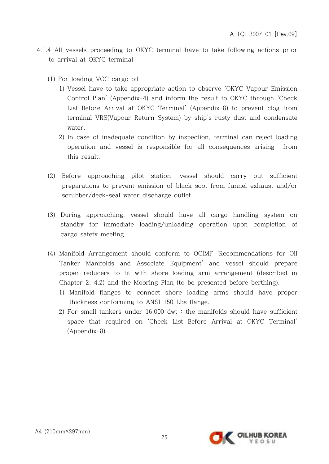- 4.1.4 All vessels proceeding to OKYC terminal have to take following actions prior to arrival at OKYC terminal
	- (1) For loading VOC cargo oil
		- 1) Vessel have to take appropriate action to observe 'OKYC Vapour Emission Control Plan' (Appendix-4) and inform the result to OKYC through 'Check List Before Arrival at OKYC Terminal' (Appendix-8) to prevent clog from terminal VRS(Vapour Return System) by ship's rusty dust and condensate water.
		- 2) In case of inadequate condition by inspection, terminal can reject loading operation and vessel is responsible for all consequences arising from this result.
	- (2) Before approaching pilot station, vessel should carry out sufficient preparations to prevent emission of black soot from funnel exhaust and/or scrubber/deck-seal water discharge outlet.
	- (3) During approaching, vessel should have all cargo handling system on standby for immediate loading/unloading operation upon completion of cargo safety meeting.
	- (4) Manifold Arrangement should conform to OCIMF 'Recommendations for Oil Tanker Manifolds and Associate Equipment' and vessel should prepare proper reducers to fit with shore loading arm arrangement (described in Chapter 2, 4.2) and the Mooring Plan (to be presented before berthing).
		- 1) Manifold flanges to connect shore loading arms should have proper thickness conforming to ANSI 150 Lbs flange.
		- 2) For small tankers under 16,000 dwt : the manifolds should have sufficient space that required on 'Check List Before Arrival at OKYC Terminal' (Appendix-8)

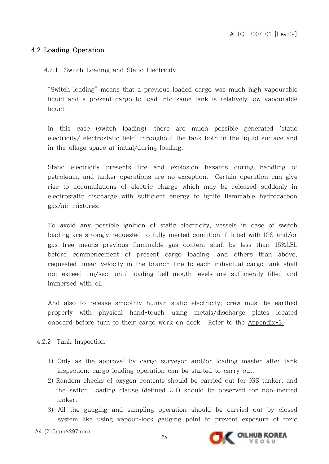#### **4.2 Loading Operation**

#### 4.2.1 Switch Loading and Static Electricity

"Switch loading" means that a previous loaded cargo was much high vapourable liquid and a present cargo to load into same tank is relatively low vapourable liquid.

In this case (switch loading), there are much possible generated 'static electricity/ electrostatic field' throughout the tank both in the liquid surface and in the ullage space at initial/during loading.

Static electricity presents fire and explosion hazards during handling of petroleum, and tanker operations are no exception. Certain operation can give rise to accumulations of electric charge which may be released suddenly in electrostatic discharge with sufficient energy to ignite flammable hydrocarbon gas/air mixtures.

To avoid any possible ignition of static electricity, vessels in case of switch loading are strongly requested to fully inerted condition if fitted with IGS and/or gas free means previous flammable gas content shall be less than 15%LEL before commencement of present cargo loading, and others than above, requested linear velocity in the branch line to each individual cargo tank shall not exceed 1m/sec. until loading bell mouth levels are sufficiently filled and immersed with oil.

And also to release smoothly human static electricity, crew must be earthed properly with physical hand-touch using metals/discharge plates located onboard before turn to their cargo work on deck. Refer to the Appendix-3.

#### . 4.2.2 Tank Inspection

- 1) Only as the approval by cargo surveyor and/or loading master after tank inspection, cargo loading operation can be started to carry out.
- 2) Random checks of oxygen contents should be carried out for IGS tanker, and the switch Loading clause (defined 2.1) should be observed for non-inerted tanker.
- 3) All the gauging and sampling operation should be carried out by closed system like using vapour-lock gauging point to prevent exposure of toxic

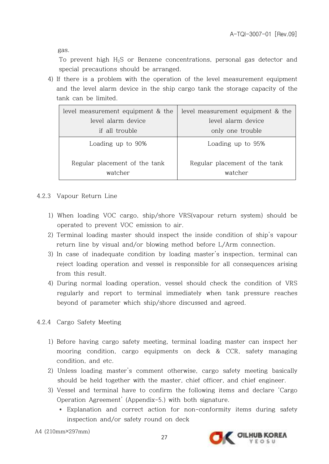gas.

To prevent high H2S or Benzene concentrations, personal gas detector and special precautions should be arranged.

4) If there is a problem with the operation of the level measurement equipment and the level alarm device in the ship cargo tank the storage capacity of the tank can be limited.

| level measurement equipment & the        | level measurement equipment & the        |
|------------------------------------------|------------------------------------------|
| level alarm device                       | level alarm device                       |
| if all trouble                           | only one trouble                         |
| Loading up to 90%                        | Loading up to 95%                        |
| Regular placement of the tank<br>watcher | Regular placement of the tank<br>watcher |

#### 4.2.3 Vapour Return Line

- 1) When loading VOC cargo, ship/shore VRS(vapour return system) should be operated to prevent VOC emission to air.
- 2) Terminal loading master should inspect the inside condition of ship's vapour return line by visual and/or blowing method before L/Arm connection.
- 3) In case of inadequate condition by loading master's inspection, terminal can reject loading operation and vessel is responsible for all consequences arising from this result.
- 4) During normal loading operation, vessel should check the condition of VRS regularly and report to terminal immediately when tank pressure reaches beyond of parameter which ship/shore discussed and agreed.

#### 4.2.4 Cargo Safety Meeting

- 1) Before having cargo safety meeting, terminal loading master can inspect her mooring condition, cargo equipments on deck & CCR, safety managing condition, and etc.
- 2) Unless loading master's comment otherwise, cargo safety meeting basically should be held together with the master, chief officer, and chief engineer.
- 3) Vessel and terminal have to confirm the following items and declare 'Cargo Operation Agreement' (Appendix-5.) with both signature.
	- \* Explanation and correct action for non-conformity items during safety inspection and/or safety round on deck

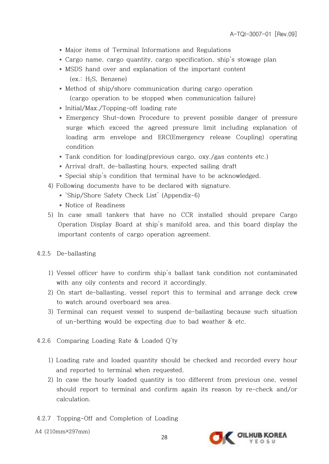- \* Major items of Terminal Informations and Regulations
- \* Cargo name, cargo quantity, cargo specification, ship's stowage plan
- \* MSDS hand over and explanation of the important content  $(ex.: H<sub>2</sub>S, Benzene)$
- \* Method of ship/shore communication during cargo operation (cargo operation to be stopped when communication failure)
- \* Initial/Max./Topping-off loading rate
- \* Emergency Shut-down Procedure to prevent possible danger of pressure surge which exceed the agreed pressure limit including explanation of loading arm envelope and ERC(Emergency release Coupling) operating condition
- \* Tank condition for loading(previous cargo, oxy./gas contents etc.)
- \* Arrival draft, de-ballasting hours, expected sailing draft
- \* Special ship's condition that terminal have to be acknowledged.
- 4) Following documents have to be declared with signature.
	- \* 'Ship/Shore Safety Check List' (Appendix-6)
	- \* Notice of Readiness
- 5) In case small tankers that have no CCR installed should prepare Cargo Operation Display Board at ship's manifold area, and this board display the important contents of cargo operation agreement.
- 4.2.5 De-ballasting
	- 1) Vessel officer have to confirm ship's ballast tank condition not contaminated with any oily contents and record it accordingly.
	- 2) On start de-ballasting, vessel report this to terminal and arrange deck crew to watch around overboard sea area.
	- 3) Terminal can request vessel to suspend de-ballasting because such situation of un-berthing would be expecting due to bad weather & etc.
- 4.2.6 Comparing Loading Rate & Loaded Q'ty
	- 1) Loading rate and loaded quantity should be checked and recorded every hour and reported to terminal when requested.
	- 2) In case the hourly loaded quantity is too different from previous one, vessel should report to terminal and confirm again its reason by re-check and/or calculation.
- 4.2.7 Topping-Off and Completion of Loading
- A4 (210mm×297mm)

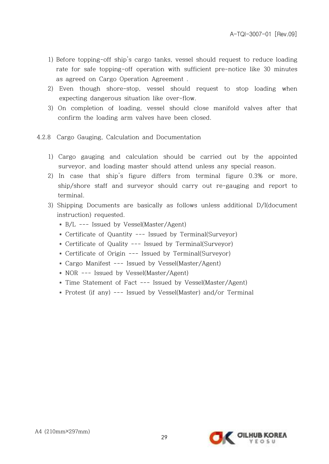- 1) Before topping-off ship's cargo tanks, vessel should request to reduce loading rate for safe topping-off operation with sufficient pre-notice like 30 minutes as agreed on Cargo Operation Agreement .
- 2) Even though shore-stop, vessel should request to stop loading when expecting dangerous situation like over-flow.
- 3) On completion of loading, vessel should close manifold valves after that confirm the loading arm valves have been closed.
- 4.2.8 Cargo Gauging, Calculation and Documentation
	- 1) Cargo gauging and calculation should be carried out by the appointed surveyor, and loading master should attend unless any special reason.
	- 2) In case that ship's figure differs from terminal figure 0.3% or more, ship/shore staff and surveyor should carry out re-gauging and report to terminal.
	- 3) Shipping Documents are basically as follows unless additional D/I(document instruction) requested.
		- \* B/L --- Issued by Vessel(Master/Agent)
		- \* Certificate of Quantity --- Issued by Terminal(Surveyor)
		- \* Certificate of Quality --- Issued by Terminal(Surveyor)
		- \* Certificate of Origin --- Issued by Terminal(Surveyor)
		- \* Cargo Manifest --- Issued by Vessel(Master/Agent)
		- \* NOR --- Issued by Vessel(Master/Agent)
		- \* Time Statement of Fact --- Issued by Vessel(Master/Agent)
		- \* Protest (if any) --- Issued by Vessel(Master) and/or Terminal

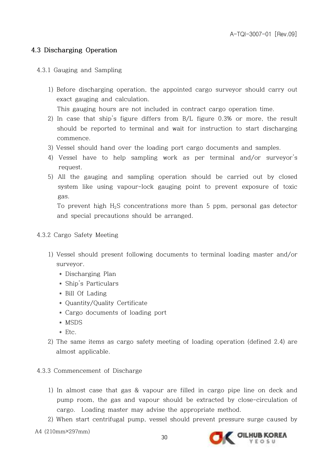## **4.3 Discharging Operation**

#### 4.3.1 Gauging and Sampling

1) Before discharging operation, the appointed cargo surveyor should carry out exact gauging and calculation.

This gauging hours are not included in contract cargo operation time.

- 2) In case that ship's figure differs from B/L figure 0.3% or more, the result should be reported to terminal and wait for instruction to start discharging commence.
- 3) Vessel should hand over the loading port cargo documents and samples.
- 4) Vessel have to help sampling work as per terminal and/or surveyor's request.
- 5) All the gauging and sampling operation should be carried out by closed system like using vapour-lock gauging point to prevent exposure of toxic gas.

To prevent high  $H_2S$  concentrations more than 5 ppm, personal gas detector and special precautions should be arranged.

- 4.3.2 Cargo Safety Meeting
	- 1) Vessel should present following documents to terminal loading master and/or surveyor.
		- \* Discharging Plan
		- \* Ship's Particulars
		- \* Bill Of Lading
		- \* Quantity/Quality Certificate
		- \* Cargo documents of loading port
		- \* MSDS
		- $*$  Etc.
	- 2) The same items as cargo safety meeting of loading operation (defined 2.4) are almost applicable.
- 4.3.3 Commencement of Discharge
	- 1) In almost case that gas & vapour are filled in cargo pipe line on deck and pump room, the gas and vapour should be extracted by close-circulation of cargo. Loading master may advise the appropriate method.
	- 2) When start centrifugal pump, vessel should prevent pressure surge caused by
- A4 (210mm×297mm)

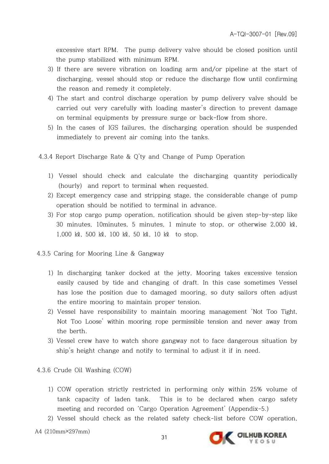excessive start RPM. The pump delivery valve should be closed position until the pump stabilized with minimum RPM.

- 3) If there are severe vibration on loading arm and/or pipeline at the start of discharging, vessel should stop or reduce the discharge flow until confirming the reason and remedy it completely.
- 4) The start and control discharge operation by pump delivery valve should be carried out very carefully with loading master's direction to prevent damage on terminal equipments by pressure surge or back-flow from shore.
- 5) In the cases of IGS failures, the discharging operation should be suspended immediately to prevent air coming into the tanks.
- 4.3.4 Report Discharge Rate & Q'ty and Change of Pump Operation
	- 1) Vessel should check and calculate the discharging quantity periodically (hourly) and report to terminal when requested.
	- 2) Except emergency case and stripping stage, the considerable change of pump operation should be notified to terminal in advance.
	- 3) For stop cargo pump operation, notification should be given step-by-step like 30 minutes, 10minutes, 5 minutes, 1 minute to stop, or otherwise 2,000 ㎘, 1,000 ㎘, 500 ㎘, 100 ㎘, 50 ㎘, 10 ㎘ to stop.
- 4.3.5 Caring for Mooring Line & Gangway
	- 1) In discharging tanker docked at the jetty, Mooring takes excessive tension easily caused by tide and changing of draft. In this case sometimes Vessel has lose the position due to damaged mooring, so duty sailors often adjust the entire mooring to maintain proper tension.
	- 2) Vessel have responsibility to maintain mooring management 'Not Too Tight, Not Too Loose' within mooring rope permissible tension and never away from the berth.
	- 3) Vessel crew have to watch shore gangway not to face dangerous situation by ship's height change and notify to terminal to adjust it if in need.

4.3.6 Crude Oil Washing (COW)

- 1) COW operation strictly restricted in performing only within 25% volume of tank capacity of laden tank. This is to be declared when cargo safety meeting and recorded on 'Cargo Operation Agreement' (Appendix-5.)
- 2) Vessel should check as the related safety check-list before COW operation,

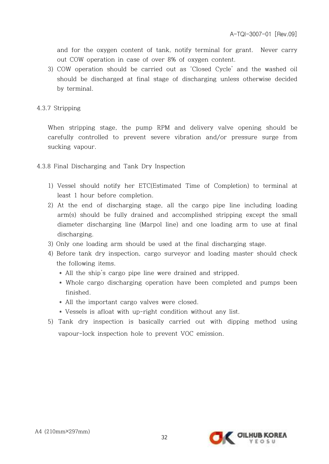and for the oxygen content of tank, notify terminal for grant. Never carry out COW operation in case of over 8% of oxygen content.

- 3) COW operation should be carried out as 'Closed Cycle' and the washed oil should be discharged at final stage of discharging unless otherwise decided by terminal.
- 4.3.7 Stripping

When stripping stage, the pump RPM and delivery valve opening should be carefully controlled to prevent severe vibration and/or pressure surge from sucking vapour.

- 4.3.8 Final Discharging and Tank Dry Inspection
	- 1) Vessel should notify her ETC(Estimated Time of Completion) to terminal at least 1 hour before completion.
	- 2) At the end of discharging stage, all the cargo pipe line including loading arm(s) should be fully drained and accomplished stripping except the small diameter discharging line (Marpol line) and one loading arm to use at final discharging.
	- 3) Only one loading arm should be used at the final discharging stage.
	- 4) Before tank dry inspection, cargo surveyor and loading master should check the following items.
		- \* All the ship's cargo pipe line were drained and stripped.
		- \* Whole cargo discharging operation have been completed and pumps been finished.
		- \* All the important cargo valves were closed.
		- \* Vessels is afloat with up-right condition without any list.
	- 5) Tank dry inspection is basically carried out with dipping method using vapour-lock inspection hole to prevent VOC emission.

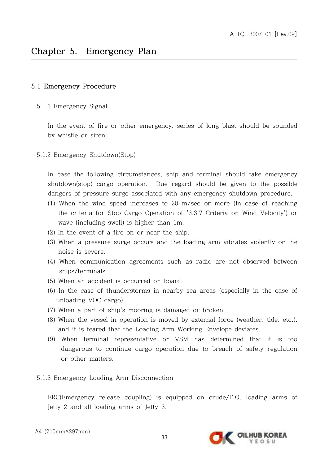#### **5.1 Emergency Procedure**

5.1.1 Emergency Signal

In the event of fire or other emergency, series of long blast should be sounded by whistle or siren.

5.1.2 Emergency Shutdown(Stop)

In case the following circumstances, ship and terminal should take emergency shutdown(stop) cargo operation. Due regard should be given to the possible dangers of pressure surge associated with any emergency shutdown procedure.

- (1) When the wind speed increases to 20 m/sec or more (In case of reaching the criteria for Stop Cargo Operation of '3.3.7 Criteria on Wind Velocity') or wave (including swell) is higher than 1m.
- (2) In the event of a fire on or near the ship.
- (3) When a pressure surge occurs and the loading arm vibrates violently or the noise is severe.
- (4) When communication agreements such as radio are not observed between ships/terminals
- (5) When an accident is occurred on board.
- (6) In the case of thunderstorms in nearby sea areas (especially in the case of unloading VOC cargo)
- (7) When a part of ship's mooring is damaged or broken
- (8) When the vessel in operation is moved by external force (weather, tide, etc.), and it is feared that the Loading Arm Working Envelope deviates.
- (9) When terminal representative or VSM has determined that it is too dangerous to continue cargo operation due to breach of safety regulation or other matters.

#### 5.1.3 Emergency Loading Arm Disconnection

ERC(Emergency release coupling) is equipped on crude/F.O. loading arms of Jetty-2 and all loading arms of Jetty-3.



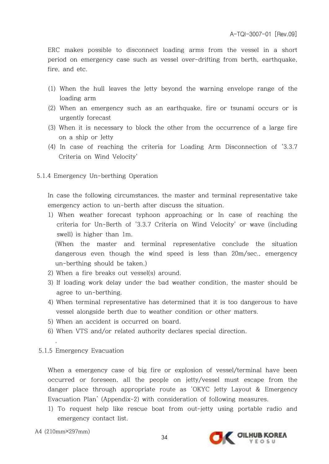ERC makes possible to disconnect loading arms from the vessel in a short period on emergency case such as vessel over-drifting from berth, earthquake, fire, and etc.

- (1) When the hull leaves the Jetty beyond the warning envelope range of the loading arm
- (2) When an emergency such as an earthquake, fire or tsunami occurs or is urgently forecast
- (3) When it is necessary to block the other from the occurrence of a large fire on a ship or Jetty
- (4) In case of reaching the criteria for Loading Arm Disconnection of '3.3.7 Criteria on Wind Velocity'
- 5.1.4 Emergency Un-berthing Operation

In case the following circumstances, the master and terminal representative take emergency action to un-berth after discuss the situation.

1) When weather forecast typhoon approaching or In case of reaching the criteria for Un-Berth of '3.3.7 Criteria on Wind Velocity' or wave (including swell) is higher than 1m.

(When the master and terminal representative conclude the situation dangerous even though the wind speed is less than 20m/sec., emergency un-berthing should be taken.)

- 2) When a fire breaks out vessel(s) around.
- 3) If loading work delay under the bad weather condition, the master should be agree to un-berthing.
- 4) When terminal representative has determined that it is too dangerous to have vessel alongside berth due to weather condition or other matters.
- 5) When an accident is occurred on board.
- 6) When VTS and/or related authority declares special direction.

. 5.1.5 Emergency Evacuation

When a emergency case of big fire or explosion of vessel/terminal have been occurred or foreseen, all the people on jetty/vessel must escape from the danger place through appropriate route as 'OKYC Jetty Layout & Emergency Evacuation Plan' (Appendix-2) with consideration of following measures.

- 1) To request help like rescue boat from out-jetty using portable radio and emergency contact list.
- A4 (210mm×297mm)

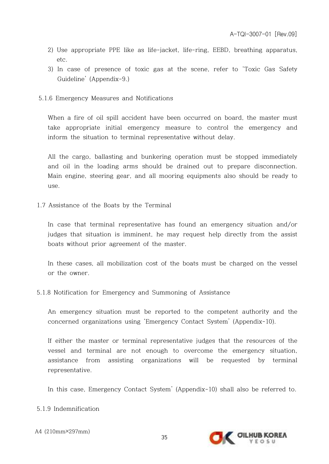- 2) Use appropriate PPE like as life-jacket, life-ring, EEBD, breathing apparatus, etc.
- 3) In case of presence of toxic gas at the scene, refer to 'Toxic Gas Safety Guideline' (Appendix-9.)
- 5.1.6 Emergency Measures and Notifications

When a fire of oil spill accident have been occurred on board, the master must take appropriate initial emergency measure to control the emergency and inform the situation to terminal representative without delay.

All the cargo, ballasting and bunkering operation must be stopped immediately and oil in the loading arms should be drained out to prepare disconnection. Main engine, steering gear, and all mooring equipments also should be ready to use.

1.7 Assistance of the Boats by the Terminal

In case that terminal representative has found an emergency situation and/or judges that situation is imminent, he may request help directly from the assist boats without prior agreement of the master.

In these cases, all mobilization cost of the boats must be charged on the vessel or the owner.

5.1.8 Notification for Emergency and Summoning of Assistance

An emergency situation must be reported to the competent authority and the concerned organizations using 'Emergency Contact System' (Appendix-10).

If either the master or terminal representative judges that the resources of the vessel and terminal are not enough to overcome the emergency situation, assistance from assisting organizations will be requested by terminal representative.

In this case, Emergency Contact System' (Appendix-10) shall also be referred to.

5.1.9 Indemnification



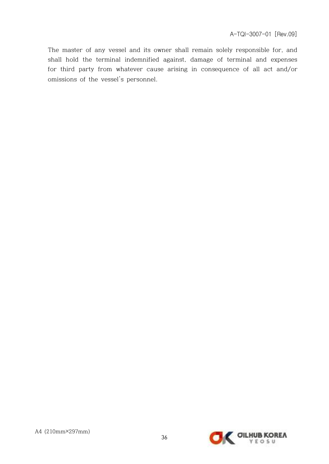The master of any vessel and its owner shall remain solely responsible for, and shall hold the terminal indemnified against, damage of terminal and expenses for third party from whatever cause arising in consequence of all act and/or omissions of the vessel's personnel.

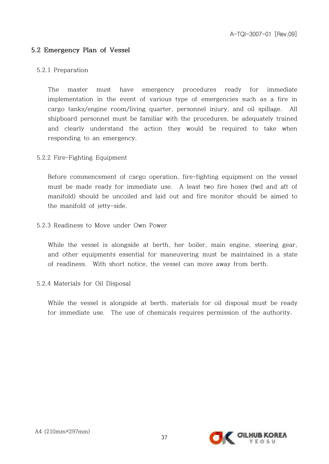## **5.2 Emergency Plan of Vessel**

#### 5.2.1 Preparation

The master must have emergency procedures ready for immediate implementation in the event of various type of emergencies such as a fire in cargo tanks/engine room/living quarter, personnel injury, and oil spillage. All shipboard personnel must be familiar with the procedures, be adequately trained and clearly understand the action they would be required to take when responding to an emergency.

5.2.2 Fire-Fighting Equipment

Before commencement of cargo operation, fire-fighting equipment on the vessel must be made ready for immediate use. A least two fire hoses (fwd and aft of manifold) should be uncoiled and laid out and fire monitor should be aimed to the manifold of jetty-side.

5.2.3 Readiness to Move under Own Power

While the vessel is alongside at berth, her boiler, main engine, steering gear, and other equipments essential for maneuvering must be maintained in a state of readiness. With short notice, the vessel can move away from berth.

5.2.4 Materials for Oil Disposal

While the vessel is alongside at berth, materials for oil disposal must be ready for immediate use. The use of chemicals requires permission of the authority.